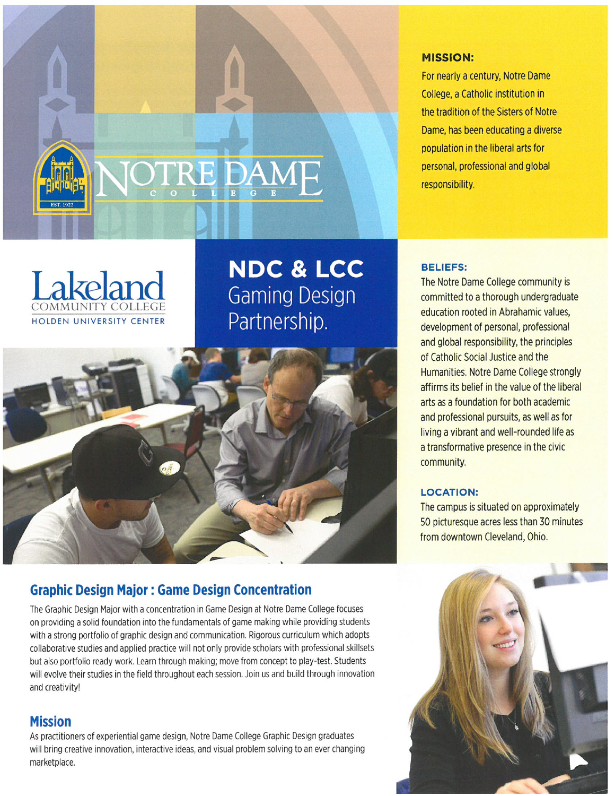

#### **MISSION:**

For nearly a century, Notre Dame College, a Catholic institution in the tradition of the Sisters of Notre Dame, has been educating a diverse population in the liberal arts for personal, professional and global responsibility.



**NDC & LCC Gaming Design** Partnership.



# **Graphic Design Major: Game Design Concentration**

The Graphic Design Major with a concentration in Game Design at Notre Dame College focuses on providing a solid foundation into the fundamentals of game making while providing students with a strong portfolio of graphic design and communication. Rigorous curriculum which adopts collaborative studies and applied practice will not only provide scholars with professional skillsets but also portfolio ready work. Learn through making; move from concept to play-test. Students will evolve their studies in the field throughout each session. Join us and build through innovation and creativity!

# **Mission**

As practitioners of experiential game design, Notre Dame College Graphic Design graduates will bring creative innovation, interactive ideas, and visual problem solving to an ever changing marketplace.

### **BELIEFS:**

The Notre Dame College community is committed to a thorough undergraduate education rooted in Abrahamic values, development of personal, professional and global responsibility, the principles of Catholic Social Justice and the Humanities, Notre Dame College strongly affirms its belief in the value of the liberal arts as a foundation for both academic and professional pursuits, as well as for living a vibrant and well-rounded life as a transformative presence in the civic community.

#### **LOCATION:**

The campus is situated on approximately 50 picturesque acres less than 30 minutes from downtown Cleveland, Ohio.